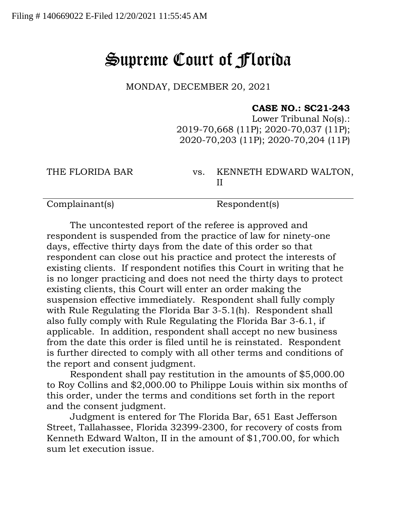## Supreme Court of Florida

MONDAY, DECEMBER 20, 2021

## **CASE NO.: SC21-243**

Lower Tribunal No(s).: 2019-70,668 (11P); 2020-70,037 (11P); 2020-70,203 (11P); 2020-70,204 (11P)

THE FLORIDA BAR vs. KENNETH EDWARD WALTON, II

Complainant(s) Respondent(s)

The uncontested report of the referee is approved and respondent is suspended from the practice of law for ninety-one days, effective thirty days from the date of this order so that respondent can close out his practice and protect the interests of existing clients. If respondent notifies this Court in writing that he is no longer practicing and does not need the thirty days to protect existing clients, this Court will enter an order making the suspension effective immediately. Respondent shall fully comply with Rule Regulating the Florida Bar 3-5.1(h). Respondent shall also fully comply with Rule Regulating the Florida Bar 3-6.1, if applicable. In addition, respondent shall accept no new business from the date this order is filed until he is reinstated. Respondent is further directed to comply with all other terms and conditions of the report and consent judgment.

Respondent shall pay restitution in the amounts of \$5,000.00 to Roy Collins and \$2,000.00 to Philippe Louis within six months of this order, under the terms and conditions set forth in the report and the consent judgment.

Judgment is entered for The Florida Bar, 651 East Jefferson Street, Tallahassee, Florida 32399-2300, for recovery of costs from Kenneth Edward Walton, II in the amount of \$1,700.00, for which sum let execution issue.